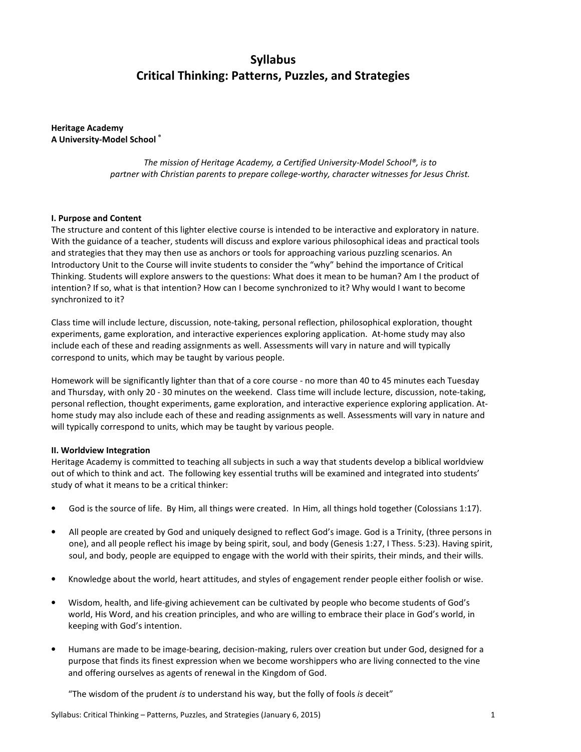# Syllabus Critical Thinking: Patterns, Puzzles, and Strategies

Heritage Academy A University-Model School ®

> The mission of Heritage Academy, a Certified University-Model School®, is to partner with Christian parents to prepare college-worthy, character witnesses for Jesus Christ.

#### I. Purpose and Content

The structure and content of this lighter elective course is intended to be interactive and exploratory in nature. With the guidance of a teacher, students will discuss and explore various philosophical ideas and practical tools and strategies that they may then use as anchors or tools for approaching various puzzling scenarios. An Introductory Unit to the Course will invite students to consider the "why" behind the importance of Critical Thinking. Students will explore answers to the questions: What does it mean to be human? Am I the product of intention? If so, what is that intention? How can I become synchronized to it? Why would I want to become synchronized to it?

Class time will include lecture, discussion, note-taking, personal reflection, philosophical exploration, thought experiments, game exploration, and interactive experiences exploring application. At-home study may also include each of these and reading assignments as well. Assessments will vary in nature and will typically correspond to units, which may be taught by various people.

Homework will be significantly lighter than that of a core course - no more than 40 to 45 minutes each Tuesday and Thursday, with only 20 - 30 minutes on the weekend. Class time will include lecture, discussion, note-taking, personal reflection, thought experiments, game exploration, and interactive experience exploring application. Athome study may also include each of these and reading assignments as well. Assessments will vary in nature and will typically correspond to units, which may be taught by various people.

#### II. Worldview Integration

Heritage Academy is committed to teaching all subjects in such a way that students develop a biblical worldview out of which to think and act. The following key essential truths will be examined and integrated into students' study of what it means to be a critical thinker:

- God is the source of life. By Him, all things were created. In Him, all things hold together (Colossians 1:17).
- All people are created by God and uniquely designed to reflect God's image. God is a Trinity, (three persons in one), and all people reflect his image by being spirit, soul, and body (Genesis 1:27, I Thess. 5:23). Having spirit, soul, and body, people are equipped to engage with the world with their spirits, their minds, and their wills.
- Knowledge about the world, heart attitudes, and styles of engagement render people either foolish or wise.
- Wisdom, health, and life-giving achievement can be cultivated by people who become students of God's world, His Word, and his creation principles, and who are willing to embrace their place in God's world, in keeping with God's intention.
- Humans are made to be image-bearing, decision-making, rulers over creation but under God, designed for a purpose that finds its finest expression when we become worshippers who are living connected to the vine and offering ourselves as agents of renewal in the Kingdom of God.

"The wisdom of the prudent is to understand his way, but the folly of fools is deceit"

Syllabus: Critical Thinking – Patterns, Puzzles, and Strategies (January 6, 2015) 1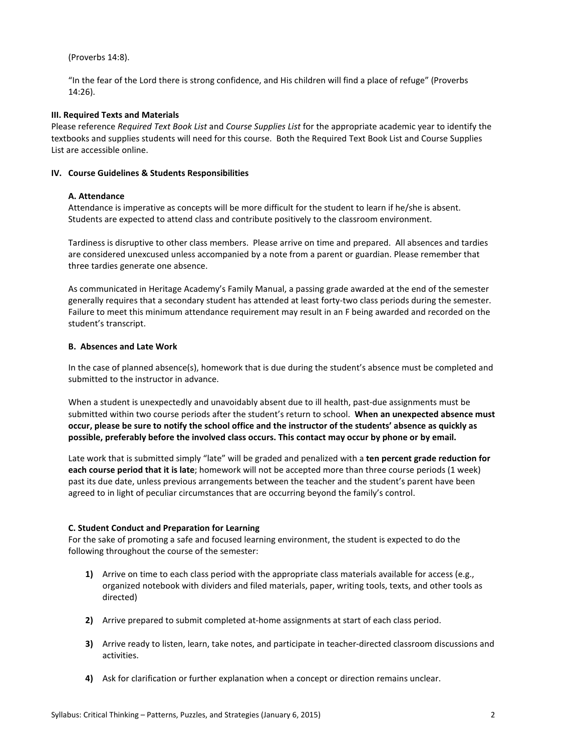## (Proverbs 14:8).

"In the fear of the Lord there is strong confidence, and His children will find a place of refuge" (Proverbs 14:26).

### III. Required Texts and Materials

Please reference Required Text Book List and Course Supplies List for the appropriate academic year to identify the textbooks and supplies students will need for this course. Both the Required Text Book List and Course Supplies List are accessible online.

#### IV. Course Guidelines & Students Responsibilities

## A. Attendance

Attendance is imperative as concepts will be more difficult for the student to learn if he/she is absent. Students are expected to attend class and contribute positively to the classroom environment.

Tardiness is disruptive to other class members. Please arrive on time and prepared. All absences and tardies are considered unexcused unless accompanied by a note from a parent or guardian. Please remember that three tardies generate one absence.

As communicated in Heritage Academy's Family Manual, a passing grade awarded at the end of the semester generally requires that a secondary student has attended at least forty-two class periods during the semester. Failure to meet this minimum attendance requirement may result in an F being awarded and recorded on the student's transcript.

## B. Absences and Late Work

In the case of planned absence(s), homework that is due during the student's absence must be completed and submitted to the instructor in advance.

When a student is unexpectedly and unavoidably absent due to ill health, past-due assignments must be submitted within two course periods after the student's return to school. When an unexpected absence must occur, please be sure to notify the school office and the instructor of the students' absence as quickly as possible, preferably before the involved class occurs. This contact may occur by phone or by email.

Late work that is submitted simply "late" will be graded and penalized with a ten percent grade reduction for each course period that it is late; homework will not be accepted more than three course periods (1 week) past its due date, unless previous arrangements between the teacher and the student's parent have been agreed to in light of peculiar circumstances that are occurring beyond the family's control.

## C. Student Conduct and Preparation for Learning

For the sake of promoting a safe and focused learning environment, the student is expected to do the following throughout the course of the semester:

- 1) Arrive on time to each class period with the appropriate class materials available for access (e.g., organized notebook with dividers and filed materials, paper, writing tools, texts, and other tools as directed)
- 2) Arrive prepared to submit completed at-home assignments at start of each class period.
- 3) Arrive ready to listen, learn, take notes, and participate in teacher-directed classroom discussions and activities.
- 4) Ask for clarification or further explanation when a concept or direction remains unclear.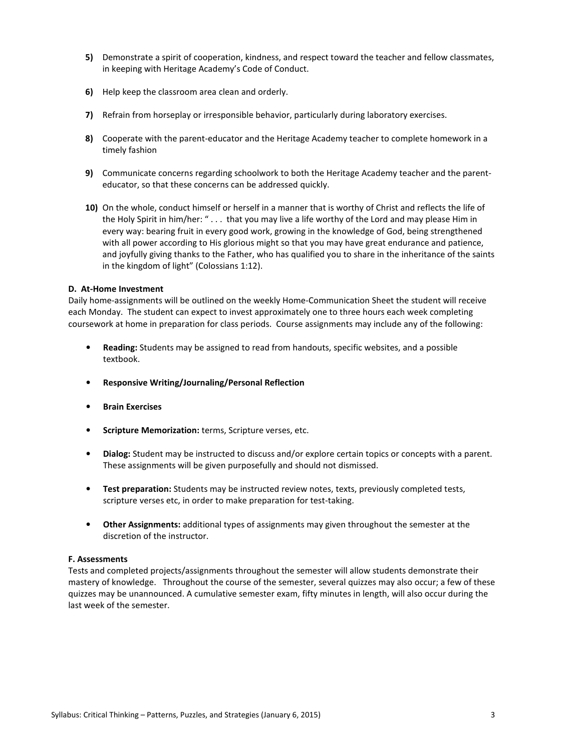- 5) Demonstrate a spirit of cooperation, kindness, and respect toward the teacher and fellow classmates, in keeping with Heritage Academy's Code of Conduct.
- 6) Help keep the classroom area clean and orderly.
- 7) Refrain from horseplay or irresponsible behavior, particularly during laboratory exercises.
- 8) Cooperate with the parent-educator and the Heritage Academy teacher to complete homework in a timely fashion
- 9) Communicate concerns regarding schoolwork to both the Heritage Academy teacher and the parenteducator, so that these concerns can be addressed quickly.
- 10) On the whole, conduct himself or herself in a manner that is worthy of Christ and reflects the life of the Holy Spirit in him/her: " . . . that you may live a life worthy of the Lord and may please Him in every way: bearing fruit in every good work, growing in the knowledge of God, being strengthened with all power according to His glorious might so that you may have great endurance and patience, and joyfully giving thanks to the Father, who has qualified you to share in the inheritance of the saints in the kingdom of light" (Colossians 1:12).

#### D. At-Home Investment

Daily home-assignments will be outlined on the weekly Home-Communication Sheet the student will receive each Monday. The student can expect to invest approximately one to three hours each week completing coursework at home in preparation for class periods. Course assignments may include any of the following:

- Reading: Students may be assigned to read from handouts, specific websites, and a possible textbook.
- Responsive Writing/Journaling/Personal Reflection
- **Brain Exercises**
- Scripture Memorization: terms, Scripture verses, etc.
- Dialog: Student may be instructed to discuss and/or explore certain topics or concepts with a parent. These assignments will be given purposefully and should not dismissed.
- Test preparation: Students may be instructed review notes, texts, previously completed tests, scripture verses etc, in order to make preparation for test-taking.
- Other Assignments: additional types of assignments may given throughout the semester at the discretion of the instructor.

#### F. Assessments

Tests and completed projects/assignments throughout the semester will allow students demonstrate their mastery of knowledge. Throughout the course of the semester, several quizzes may also occur; a few of these quizzes may be unannounced. A cumulative semester exam, fifty minutes in length, will also occur during the last week of the semester.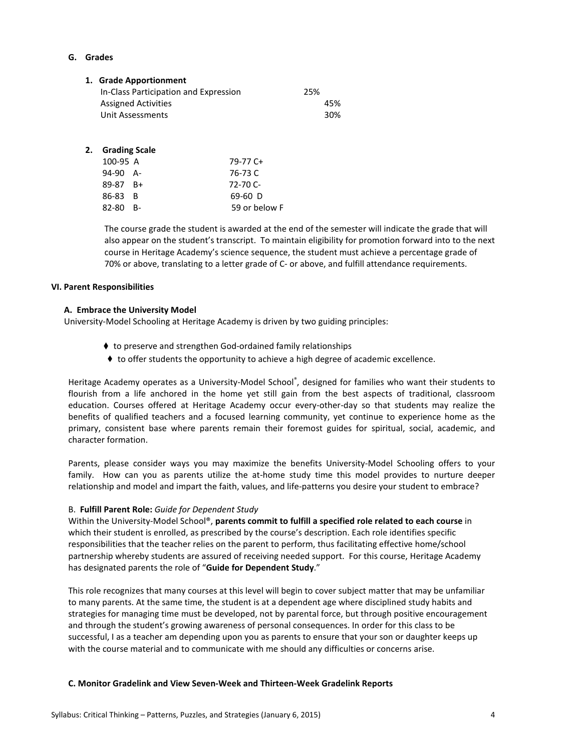## G. Grades

| 1. Grade Apportionment                |     |
|---------------------------------------|-----|
| In-Class Participation and Expression | 25% |
| <b>Assigned Activities</b>            | 45% |
| Unit Assessments                      | 30% |
|                                       |     |

## 2. Grading Scale

| 100-95 A     | 79-77 C+      |
|--------------|---------------|
| $94-90$ A-   | 76-73 C       |
| $89-87$ $B+$ | $72 - 70$ C-  |
| 86-83 B      | $69-60$ D     |
| $82-80$ B-   | 59 or below F |

The course grade the student is awarded at the end of the semester will indicate the grade that will also appear on the student's transcript. To maintain eligibility for promotion forward into to the next course in Heritage Academy's science sequence, the student must achieve a percentage grade of 70% or above, translating to a letter grade of C- or above, and fulfill attendance requirements.

#### VI. Parent Responsibilities

#### A. Embrace the University Model

University-Model Schooling at Heritage Academy is driven by two guiding principles:

- ♦ to preserve and strengthen God-ordained family relationships
- ♦ to offer students the opportunity to achieve a high degree of academic excellence.

Heritage Academy operates as a University-Model School®, designed for families who want their students to flourish from a life anchored in the home yet still gain from the best aspects of traditional, classroom education. Courses offered at Heritage Academy occur every-other-day so that students may realize the benefits of qualified teachers and a focused learning community, yet continue to experience home as the primary, consistent base where parents remain their foremost guides for spiritual, social, academic, and character formation.

Parents, please consider ways you may maximize the benefits University-Model Schooling offers to your family. How can you as parents utilize the at-home study time this model provides to nurture deeper relationship and model and impart the faith, values, and life-patterns you desire your student to embrace?

### B. Fulfill Parent Role: Guide for Dependent Study

Within the University-Model School®, parents commit to fulfill a specified role related to each course in which their student is enrolled, as prescribed by the course's description. Each role identifies specific responsibilities that the teacher relies on the parent to perform, thus facilitating effective home/school partnership whereby students are assured of receiving needed support. For this course, Heritage Academy has designated parents the role of "Guide for Dependent Study."

This role recognizes that many courses at this level will begin to cover subject matter that may be unfamiliar to many parents. At the same time, the student is at a dependent age where disciplined study habits and strategies for managing time must be developed, not by parental force, but through positive encouragement and through the student's growing awareness of personal consequences. In order for this class to be successful, I as a teacher am depending upon you as parents to ensure that your son or daughter keeps up with the course material and to communicate with me should any difficulties or concerns arise.

#### C. Monitor Gradelink and View Seven-Week and Thirteen-Week Gradelink Reports